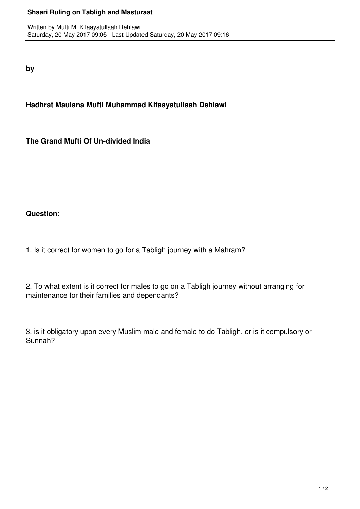## **Shaari Ruling on Tabligh and Masturaat**

**by**

**Hadhrat Maulana Mufti Muhammad Kifaayatullaah Dehlawi**

**The Grand Mufti Of Un-divided India**

## **Question:**

1. Is it correct for women to go for a Tabligh journey with a Mahram?

2. To what extent is it correct for males to go on a Tabligh journey without arranging for maintenance for their families and dependants?

3. is it obligatory upon every Muslim male and female to do Tabligh, or is it compulsory or Sunnah?